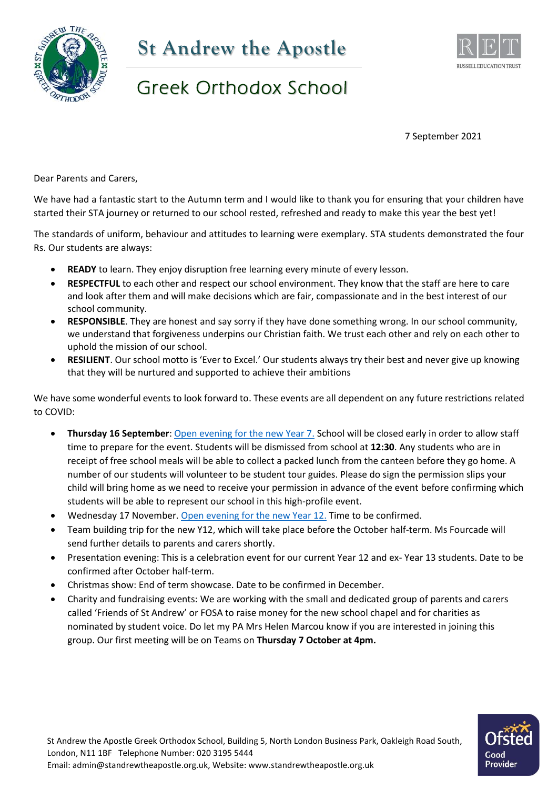



## Greek Orthodox School

7 September 2021

Dear Parents and Carers,

We have had a fantastic start to the Autumn term and I would like to thank you for ensuring that your children have started their STA journey or returned to our school rested, refreshed and ready to make this year the best yet!

The standards of uniform, behaviour and attitudes to learning were exemplary. STA students demonstrated the four Rs. Our students are always:

- **READY** to learn. They enjoy disruption free learning every minute of every lesson.
- **RESPECTFUL** to each other and respect our school environment. They know that the staff are here to care and look after them and will make decisions which are fair, compassionate and in the best interest of our school community.
- **RESPONSIBLE**. They are honest and say sorry if they have done something wrong. In our school community, we understand that forgiveness underpins our Christian faith. We trust each other and rely on each other to uphold the mission of our school.
- **RESILIENT**. Our school motto is 'Ever to Excel.' Our students always try their best and never give up knowing that they will be nurtured and supported to achieve their ambitions

We have some wonderful events to look forward to. These events are all dependent on any future restrictions related to COVID:

- **Thursday 16 September**: [Open evening for the new Year 7.](https://www.standrewtheapostle.org.uk/documents/transition/Advert%20-%20St.%20Andrew%20The%20Apostle.jpg) School will be closed early in order to allow staff time to prepare for the event. Students will be dismissed from school at **12:30**. Any students who are in receipt of free school meals will be able to collect a packed lunch from the canteen before they go home. A number of our students will volunteer to be student tour guides. Please do sign the permission slips your child will bring home as we need to receive your permission in advance of the event before confirming which students will be able to represent our school in this high-profile event.
- Wednesday 17 November. [Open evening for the new Year 12.](https://www.standrewtheapostle.org.uk/documents/sixth-form/Sixth%20Form%20Enrolment.pdf) Time to be confirmed.
- Team building trip for the new Y12, which will take place before the October half-term. Ms Fourcade will send further details to parents and carers shortly.
- Presentation evening: This is a celebration event for our current Year 12 and ex- Year 13 students. Date to be confirmed after October half-term.
- Christmas show: End of term showcase. Date to be confirmed in December.
- Charity and fundraising events: We are working with the small and dedicated group of parents and carers called 'Friends of St Andrew' or FOSA to raise money for the new school chapel and for charities as nominated by student voice. Do let my PA Mrs Helen Marcou know if you are interested in joining this group. Our first meeting will be on Teams on **Thursday 7 October at 4pm.**